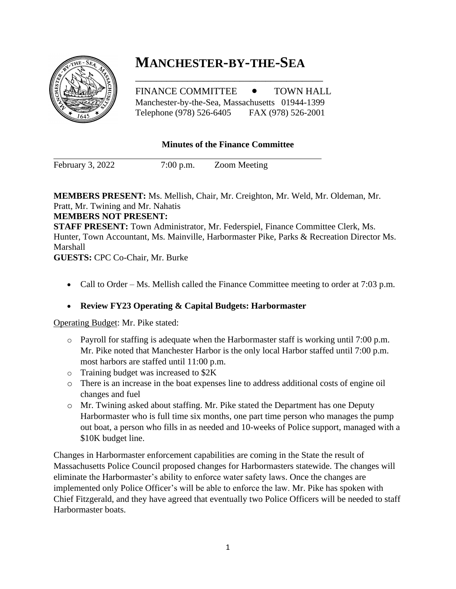# **MANCHESTER-BY-THE-SEA**

FINANCE COMMITTEE  $\bullet$  TOWN HALL Manchester-by-the-Sea, Massachusetts 01944-1399 Telephone (978) 526-6405 FAX (978) 526-2001

\_\_\_\_\_\_\_\_\_\_\_\_\_\_\_\_\_\_\_\_\_\_\_\_\_\_\_\_\_\_\_\_\_\_\_\_

#### **Minutes of the Finance Committee**

February 3, 2022 7:00 p.m. Zoom Meeting

**MEMBERS PRESENT:** Ms. Mellish, Chair, Mr. Creighton, Mr. Weld, Mr. Oldeman, Mr. Pratt, Mr. Twining and Mr. Nahatis

#### **MEMBERS NOT PRESENT:**

**STAFF PRESENT:** Town Administrator, Mr. Federspiel, Finance Committee Clerk, Ms. Hunter, Town Accountant, Ms. Mainville, Harbormaster Pike, Parks & Recreation Director Ms. Marshall

**GUESTS:** CPC Co-Chair, Mr. Burke

• Call to Order – Ms. Mellish called the Finance Committee meeting to order at 7:03 p.m.

# • **Review FY23 Operating & Capital Budgets: Harbormaster**

Operating Budget: Mr. Pike stated:

- o Payroll for staffing is adequate when the Harbormaster staff is working until 7:00 p.m. Mr. Pike noted that Manchester Harbor is the only local Harbor staffed until 7:00 p.m. most harbors are staffed until 11:00 p.m.
- o Training budget was increased to \$2K
- o There is an increase in the boat expenses line to address additional costs of engine oil changes and fuel
- o Mr. Twining asked about staffing. Mr. Pike stated the Department has one Deputy Harbormaster who is full time six months, one part time person who manages the pump out boat, a person who fills in as needed and 10-weeks of Police support, managed with a \$10K budget line.

Changes in Harbormaster enforcement capabilities are coming in the State the result of Massachusetts Police Council proposed changes for Harbormasters statewide. The changes will eliminate the Harbormaster's ability to enforce water safety laws. Once the changes are implemented only Police Officer's will be able to enforce the law. Mr. Pike has spoken with Chief Fitzgerald, and they have agreed that eventually two Police Officers will be needed to staff Harbormaster boats.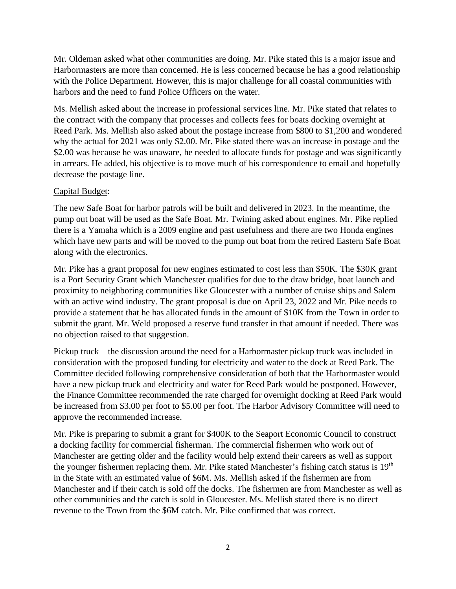Mr. Oldeman asked what other communities are doing. Mr. Pike stated this is a major issue and Harbormasters are more than concerned. He is less concerned because he has a good relationship with the Police Department. However, this is major challenge for all coastal communities with harbors and the need to fund Police Officers on the water.

Ms. Mellish asked about the increase in professional services line. Mr. Pike stated that relates to the contract with the company that processes and collects fees for boats docking overnight at Reed Park. Ms. Mellish also asked about the postage increase from \$800 to \$1,200 and wondered why the actual for 2021 was only \$2.00. Mr. Pike stated there was an increase in postage and the \$2.00 was because he was unaware, he needed to allocate funds for postage and was significantly in arrears. He added, his objective is to move much of his correspondence to email and hopefully decrease the postage line.

#### Capital Budget:

The new Safe Boat for harbor patrols will be built and delivered in 2023. In the meantime, the pump out boat will be used as the Safe Boat. Mr. Twining asked about engines. Mr. Pike replied there is a Yamaha which is a 2009 engine and past usefulness and there are two Honda engines which have new parts and will be moved to the pump out boat from the retired Eastern Safe Boat along with the electronics.

Mr. Pike has a grant proposal for new engines estimated to cost less than \$50K. The \$30K grant is a Port Security Grant which Manchester qualifies for due to the draw bridge, boat launch and proximity to neighboring communities like Gloucester with a number of cruise ships and Salem with an active wind industry. The grant proposal is due on April 23, 2022 and Mr. Pike needs to provide a statement that he has allocated funds in the amount of \$10K from the Town in order to submit the grant. Mr. Weld proposed a reserve fund transfer in that amount if needed. There was no objection raised to that suggestion.

Pickup truck – the discussion around the need for a Harbormaster pickup truck was included in consideration with the proposed funding for electricity and water to the dock at Reed Park. The Committee decided following comprehensive consideration of both that the Harbormaster would have a new pickup truck and electricity and water for Reed Park would be postponed. However, the Finance Committee recommended the rate charged for overnight docking at Reed Park would be increased from \$3.00 per foot to \$5.00 per foot. The Harbor Advisory Committee will need to approve the recommended increase.

Mr. Pike is preparing to submit a grant for \$400K to the Seaport Economic Council to construct a docking facility for commercial fisherman. The commercial fishermen who work out of Manchester are getting older and the facility would help extend their careers as well as support the younger fishermen replacing them. Mr. Pike stated Manchester's fishing catch status is 19<sup>th</sup> in the State with an estimated value of \$6M. Ms. Mellish asked if the fishermen are from Manchester and if their catch is sold off the docks. The fishermen are from Manchester as well as other communities and the catch is sold in Gloucester. Ms. Mellish stated there is no direct revenue to the Town from the \$6M catch. Mr. Pike confirmed that was correct.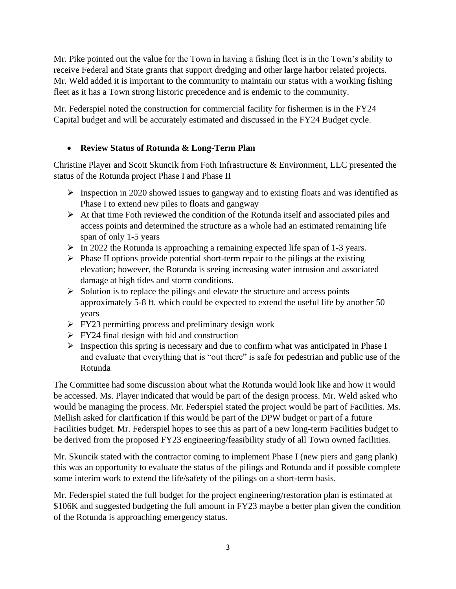Mr. Pike pointed out the value for the Town in having a fishing fleet is in the Town's ability to receive Federal and State grants that support dredging and other large harbor related projects. Mr. Weld added it is important to the community to maintain our status with a working fishing fleet as it has a Town strong historic precedence and is endemic to the community.

Mr. Federspiel noted the construction for commercial facility for fishermen is in the FY24 Capital budget and will be accurately estimated and discussed in the FY24 Budget cycle.

# • **Review Status of Rotunda & Long-Term Plan**

Christine Player and Scott Skuncik from Foth Infrastructure & Environment, LLC presented the status of the Rotunda project Phase I and Phase II

- ➢ Inspection in 2020 showed issues to gangway and to existing floats and was identified as Phase I to extend new piles to floats and gangway
- ➢ At that time Foth reviewed the condition of the Rotunda itself and associated piles and access points and determined the structure as a whole had an estimated remaining life span of only 1-5 years
- ➢ In 2022 the Rotunda is approaching a remaining expected life span of 1-3 years.
- $\triangleright$  Phase II options provide potential short-term repair to the pilings at the existing elevation; however, the Rotunda is seeing increasing water intrusion and associated damage at high tides and storm conditions.
- $\triangleright$  Solution is to replace the pilings and elevate the structure and access points approximately 5-8 ft. which could be expected to extend the useful life by another 50 years
- $\triangleright$  FY23 permitting process and preliminary design work
- $\triangleright$  FY24 final design with bid and construction
- $\triangleright$  Inspection this spring is necessary and due to confirm what was anticipated in Phase I and evaluate that everything that is "out there" is safe for pedestrian and public use of the Rotunda

The Committee had some discussion about what the Rotunda would look like and how it would be accessed. Ms. Player indicated that would be part of the design process. Mr. Weld asked who would be managing the process. Mr. Federspiel stated the project would be part of Facilities. Ms. Mellish asked for clarification if this would be part of the DPW budget or part of a future Facilities budget. Mr. Federspiel hopes to see this as part of a new long-term Facilities budget to be derived from the proposed FY23 engineering/feasibility study of all Town owned facilities.

Mr. Skuncik stated with the contractor coming to implement Phase I (new piers and gang plank) this was an opportunity to evaluate the status of the pilings and Rotunda and if possible complete some interim work to extend the life/safety of the pilings on a short-term basis.

Mr. Federspiel stated the full budget for the project engineering/restoration plan is estimated at \$106K and suggested budgeting the full amount in FY23 maybe a better plan given the condition of the Rotunda is approaching emergency status.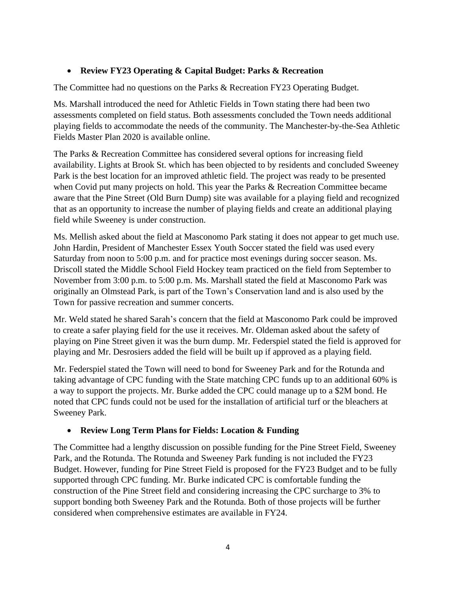#### • **Review FY23 Operating & Capital Budget: Parks & Recreation**

The Committee had no questions on the Parks & Recreation FY23 Operating Budget.

Ms. Marshall introduced the need for Athletic Fields in Town stating there had been two assessments completed on field status. Both assessments concluded the Town needs additional playing fields to accommodate the needs of the community. The Manchester-by-the-Sea Athletic Fields Master Plan 2020 is available online.

The Parks & Recreation Committee has considered several options for increasing field availability. Lights at Brook St. which has been objected to by residents and concluded Sweeney Park is the best location for an improved athletic field. The project was ready to be presented when Covid put many projects on hold. This year the Parks & Recreation Committee became aware that the Pine Street (Old Burn Dump) site was available for a playing field and recognized that as an opportunity to increase the number of playing fields and create an additional playing field while Sweeney is under construction.

Ms. Mellish asked about the field at Masconomo Park stating it does not appear to get much use. John Hardin, President of Manchester Essex Youth Soccer stated the field was used every Saturday from noon to 5:00 p.m. and for practice most evenings during soccer season. Ms. Driscoll stated the Middle School Field Hockey team practiced on the field from September to November from 3:00 p.m. to 5:00 p.m. Ms. Marshall stated the field at Masconomo Park was originally an Olmstead Park, is part of the Town's Conservation land and is also used by the Town for passive recreation and summer concerts.

Mr. Weld stated he shared Sarah's concern that the field at Masconomo Park could be improved to create a safer playing field for the use it receives. Mr. Oldeman asked about the safety of playing on Pine Street given it was the burn dump. Mr. Federspiel stated the field is approved for playing and Mr. Desrosiers added the field will be built up if approved as a playing field.

Mr. Federspiel stated the Town will need to bond for Sweeney Park and for the Rotunda and taking advantage of CPC funding with the State matching CPC funds up to an additional 60% is a way to support the projects. Mr. Burke added the CPC could manage up to a \$2M bond. He noted that CPC funds could not be used for the installation of artificial turf or the bleachers at Sweeney Park.

# • **Review Long Term Plans for Fields: Location & Funding**

The Committee had a lengthy discussion on possible funding for the Pine Street Field, Sweeney Park, and the Rotunda. The Rotunda and Sweeney Park funding is not included the FY23 Budget. However, funding for Pine Street Field is proposed for the FY23 Budget and to be fully supported through CPC funding. Mr. Burke indicated CPC is comfortable funding the construction of the Pine Street field and considering increasing the CPC surcharge to 3% to support bonding both Sweeney Park and the Rotunda. Both of those projects will be further considered when comprehensive estimates are available in FY24.